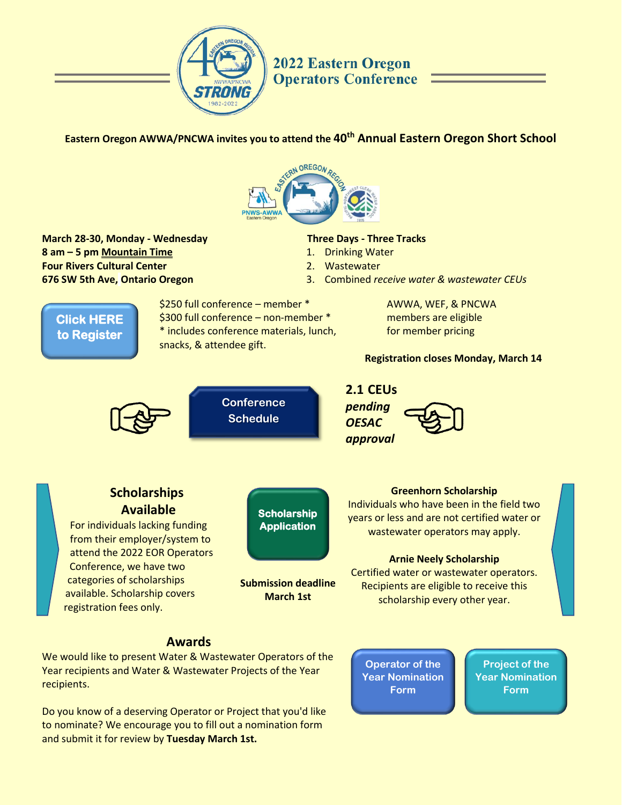

# **2022 Eastern Oregon Operators Conference**

# **Eastern Oregon AWWA/PNCWA invites you to attend the 40th Annual Eastern Oregon Short School**



**March 28-30, Monday - Wednesday 8 am – 5 pm Mountain Time Four Rivers Cultural Center 676 SW 5th Ave, Ontario Oregon**

### **Three Days - Three Tracks**

- 1. Drinking Water
- 2. Wastewater
- 3. Combined *receive water & wastewater CEUs*



\$250 full conference – member \* \$300 full conference – non-member \* \* includes conference materials, lunch, snacks, & attendee gift.

> **Submission deadline March 1st**

**[Scholarship](https://forms.gle/SK3gcGGVcPsr1K4Z6)  Application** 

AWWA, WEF, & PNCWA members are eligible for member pricing

## **Registration closes Monday, March 14**



**Scholarships Available** For individuals lacking funding from their employer/system to attend the 2022 EOR Operators Conference, we have two categories of scholarships available. Scholarship covers

registration fees only.







### **Greenhorn Scholarship**

Individuals who have been in the field two years or less and are not certified water or wastewater operators may apply.

#### **Arnie Neely Scholarship**

Certified water or wastewater operators. Recipients are eligible to receive this scholarship every other year.

# **Awards**

We would like to present Water & Wastewater Operators of the Year recipients and Water & Wastewater Projects of the Year recipients.

Do you know of a deserving Operator or Project that you'd like to nominate? We encourage you to fill out a nomination form and submit it for review by **Tuesday March 1st.**

**Operator of the [Year Nomination](https://forms.gle/mNetfv9iXP2bUY7DA)  Form**

**Project of the [Year Nomination](https://forms.gle/ywuUaF98DGddhVeK8) Form**